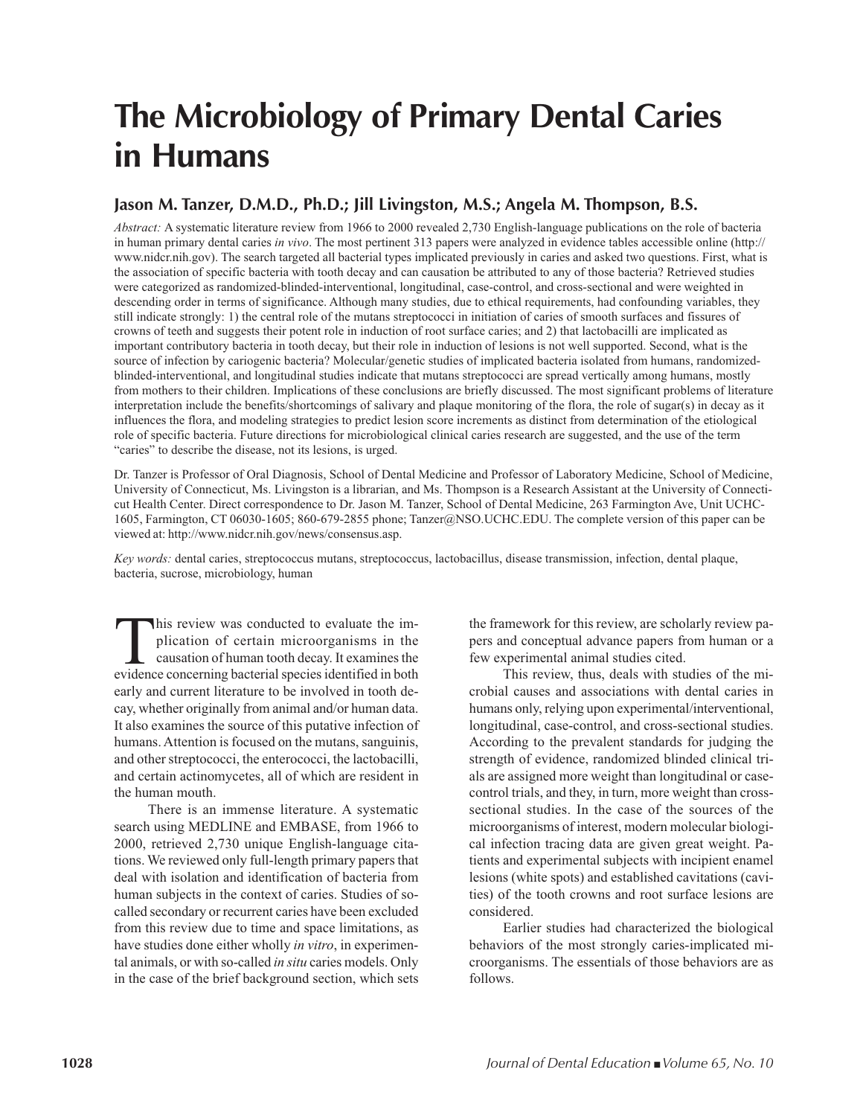# **The Microbiology of Primary Dental Caries in Humans**

#### **Jason M. Tanzer, D.M.D., Ph.D.; Jill Livingston, M.S.; Angela M. Thompson, B.S.**

*Abstract:* A systematic literature review from 1966 to 2000 revealed 2,730 English-language publications on the role of bacteria in human primary dental caries *in vivo*. The most pertinent 313 papers were analyzed in evidence tables accessible online (http:// www.nidcr.nih.gov). The search targeted all bacterial types implicated previously in caries and asked two questions. First, what is the association of specific bacteria with tooth decay and can causation be attributed to any of those bacteria? Retrieved studies were categorized as randomized-blinded-interventional, longitudinal, case-control, and cross-sectional and were weighted in descending order in terms of significance. Although many studies, due to ethical requirements, had confounding variables, they still indicate strongly: 1) the central role of the mutans streptococci in initiation of caries of smooth surfaces and fissures of crowns of teeth and suggests their potent role in induction of root surface caries; and 2) that lactobacilli are implicated as important contributory bacteria in tooth decay, but their role in induction of lesions is not well supported. Second, what is the source of infection by cariogenic bacteria? Molecular/genetic studies of implicated bacteria isolated from humans, randomizedblinded-interventional, and longitudinal studies indicate that mutans streptococci are spread vertically among humans, mostly from mothers to their children. Implications of these conclusions are briefly discussed. The most significant problems of literature interpretation include the benefits/shortcomings of salivary and plaque monitoring of the flora, the role of sugar(s) in decay as it influences the flora, and modeling strategies to predict lesion score increments as distinct from determination of the etiological role of specific bacteria. Future directions for microbiological clinical caries research are suggested, and the use of the term "caries" to describe the disease, not its lesions, is urged.

Dr. Tanzer is Professor of Oral Diagnosis, School of Dental Medicine and Professor of Laboratory Medicine, School of Medicine, University of Connecticut, Ms. Livingston is a librarian, and Ms. Thompson is a Research Assistant at the University of Connecticut Health Center. Direct correspondence to Dr. Jason M. Tanzer, School of Dental Medicine, 263 Farmington Ave, Unit UCHC-1605, Farmington, CT 06030-1605; 860-679-2855 phone; Tanzer@NSO.UCHC.EDU. The complete version of this paper can be viewed at: http://www.nidcr.nih.gov/news/consensus.asp.

*Key words:* dental caries, streptococcus mutans, streptococcus, lactobacillus, disease transmission, infection, dental plaque, bacteria, sucrose, microbiology, human

This review was conducted to evaluate the implication of certain microorganisms in the causation of human tooth decay. It examines the evidence concerning bacterial species identified in both plication of certain microorganisms in the causation of human tooth decay. It examines the evidence concerning bacterial species identified in both early and current literature to be involved in tooth decay, whether originally from animal and/or human data. It also examines the source of this putative infection of humans. Attention is focused on the mutans, sanguinis, and other streptococci, the enterococci, the lactobacilli, and certain actinomycetes, all of which are resident in the human mouth.

There is an immense literature. A systematic search using MEDLINE and EMBASE, from 1966 to 2000, retrieved 2,730 unique English-language citations. We reviewed only full-length primary papers that deal with isolation and identification of bacteria from human subjects in the context of caries. Studies of socalled secondary or recurrent caries have been excluded from this review due to time and space limitations, as have studies done either wholly *in vitro*, in experimental animals, or with so-called *in situ* caries models. Only in the case of the brief background section, which sets

the framework for this review, are scholarly review papers and conceptual advance papers from human or a few experimental animal studies cited.

This review, thus, deals with studies of the microbial causes and associations with dental caries in humans only, relying upon experimental/interventional, longitudinal, case-control, and cross-sectional studies. According to the prevalent standards for judging the strength of evidence, randomized blinded clinical trials are assigned more weight than longitudinal or casecontrol trials, and they, in turn, more weight than crosssectional studies. In the case of the sources of the microorganisms of interest, modern molecular biological infection tracing data are given great weight. Patients and experimental subjects with incipient enamel lesions (white spots) and established cavitations (cavities) of the tooth crowns and root surface lesions are considered.

Earlier studies had characterized the biological behaviors of the most strongly caries-implicated microorganisms. The essentials of those behaviors are as follows.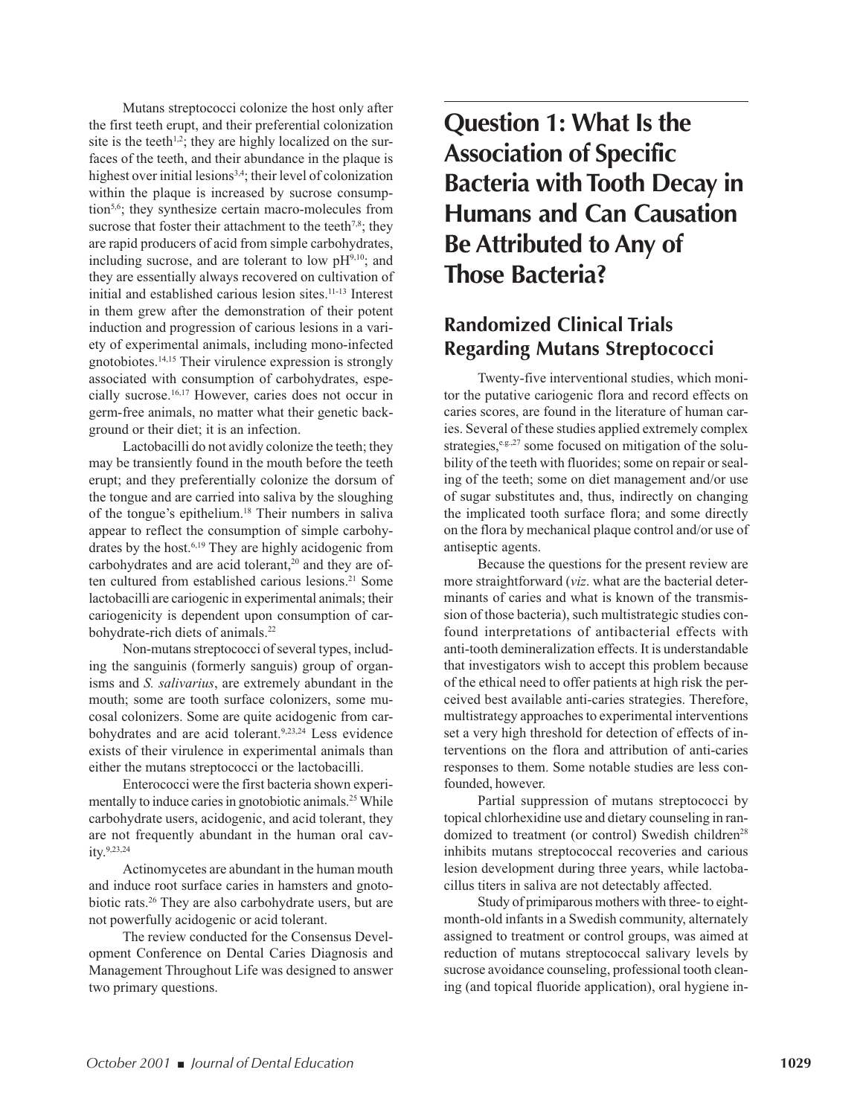Mutans streptococci colonize the host only after the first teeth erupt, and their preferential colonization site is the teeth $1,2$ ; they are highly localized on the surfaces of the teeth, and their abundance in the plaque is highest over initial lesions<sup>3,4</sup>; their level of colonization within the plaque is increased by sucrose consumption<sup>5,6</sup>; they synthesize certain macro-molecules from sucrose that foster their attachment to the teeth<sup>7,8</sup>; they are rapid producers of acid from simple carbohydrates, including sucrose, and are tolerant to low  $pH<sup>9,10</sup>$ ; and they are essentially always recovered on cultivation of initial and established carious lesion sites.11-13 Interest in them grew after the demonstration of their potent induction and progression of carious lesions in a variety of experimental animals, including mono-infected gnotobiotes.14,15 Their virulence expression is strongly associated with consumption of carbohydrates, especially sucrose.16,17 However, caries does not occur in germ-free animals, no matter what their genetic background or their diet; it is an infection.

Lactobacilli do not avidly colonize the teeth; they may be transiently found in the mouth before the teeth erupt; and they preferentially colonize the dorsum of the tongue and are carried into saliva by the sloughing of the tongue's epithelium.<sup>18</sup> Their numbers in saliva appear to reflect the consumption of simple carbohydrates by the host.<sup>6,19</sup> They are highly acidogenic from carbohydrates and are acid tolerant,<sup>20</sup> and they are often cultured from established carious lesions.<sup>21</sup> Some lactobacilli are cariogenic in experimental animals; their cariogenicity is dependent upon consumption of carbohydrate-rich diets of animals.<sup>22</sup>

Non-mutans streptococci of several types, including the sanguinis (formerly sanguis) group of organisms and *S. salivarius*, are extremely abundant in the mouth; some are tooth surface colonizers, some mucosal colonizers. Some are quite acidogenic from carbohydrates and are acid tolerant.<sup>9,23,24</sup> Less evidence exists of their virulence in experimental animals than either the mutans streptococci or the lactobacilli.

Enterococci were the first bacteria shown experimentally to induce caries in gnotobiotic animals.<sup>25</sup> While carbohydrate users, acidogenic, and acid tolerant, they are not frequently abundant in the human oral cavity.9,23,24

Actinomycetes are abundant in the human mouth and induce root surface caries in hamsters and gnotobiotic rats.26 They are also carbohydrate users, but are not powerfully acidogenic or acid tolerant.

The review conducted for the Consensus Development Conference on Dental Caries Diagnosis and Management Throughout Life was designed to answer two primary questions.

**Question 1: What Is the Association of Specific Bacteria with Tooth Decay in Humans and Can Causation Be Attributed to Any of Those Bacteria?**

### **Randomized Clinical Trials Regarding Mutans Streptococci**

Twenty-five interventional studies, which monitor the putative cariogenic flora and record effects on caries scores, are found in the literature of human caries. Several of these studies applied extremely complex strategies,<sup>e.g.,27</sup> some focused on mitigation of the solubility of the teeth with fluorides; some on repair or sealing of the teeth; some on diet management and/or use of sugar substitutes and, thus, indirectly on changing the implicated tooth surface flora; and some directly on the flora by mechanical plaque control and/or use of antiseptic agents.

Because the questions for the present review are more straightforward (*viz*. what are the bacterial determinants of caries and what is known of the transmission of those bacteria), such multistrategic studies confound interpretations of antibacterial effects with anti-tooth demineralization effects. It is understandable that investigators wish to accept this problem because of the ethical need to offer patients at high risk the perceived best available anti-caries strategies. Therefore, multistrategy approaches to experimental interventions set a very high threshold for detection of effects of interventions on the flora and attribution of anti-caries responses to them. Some notable studies are less confounded, however.

Partial suppression of mutans streptococci by topical chlorhexidine use and dietary counseling in randomized to treatment (or control) Swedish children<sup>28</sup> inhibits mutans streptococcal recoveries and carious lesion development during three years, while lactobacillus titers in saliva are not detectably affected.

Study of primiparous mothers with three- to eightmonth-old infants in a Swedish community, alternately assigned to treatment or control groups, was aimed at reduction of mutans streptococcal salivary levels by sucrose avoidance counseling, professional tooth cleaning (and topical fluoride application), oral hygiene in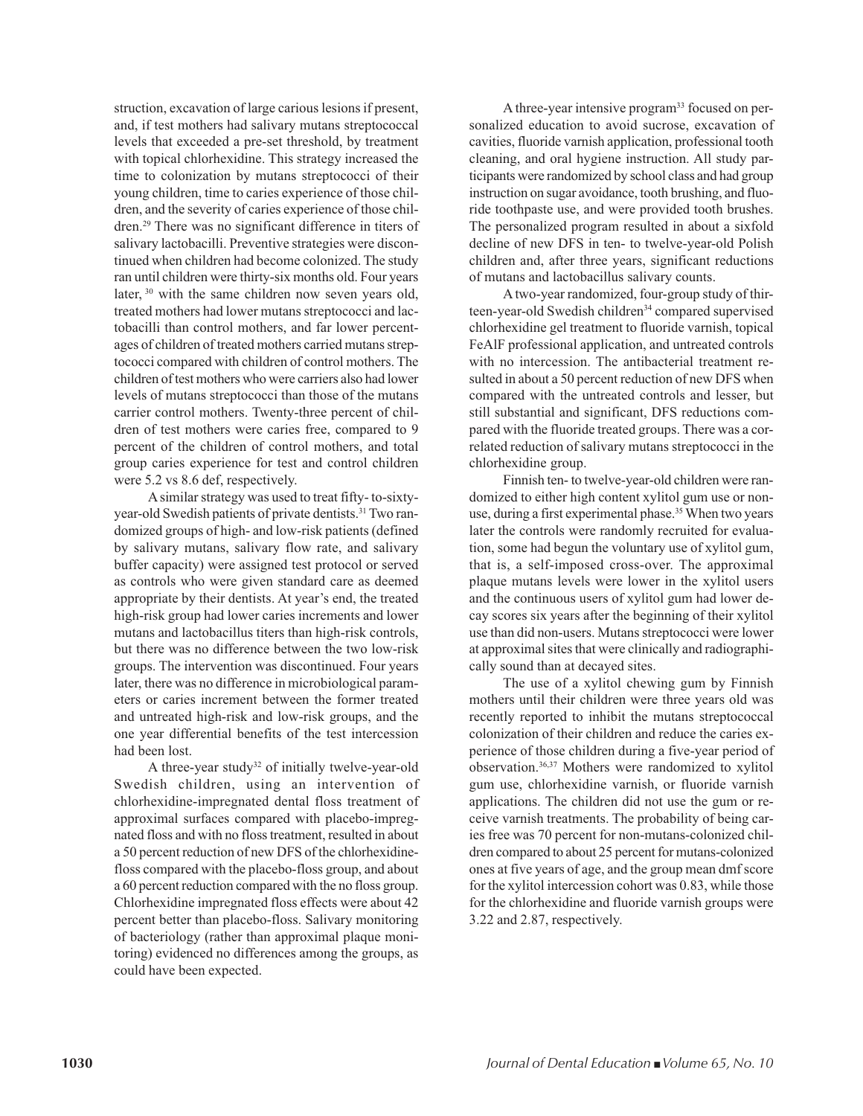struction, excavation of large carious lesions if present, and, if test mothers had salivary mutans streptococcal levels that exceeded a pre-set threshold, by treatment with topical chlorhexidine. This strategy increased the time to colonization by mutans streptococci of their young children, time to caries experience of those children, and the severity of caries experience of those children.29 There was no significant difference in titers of salivary lactobacilli. Preventive strategies were discontinued when children had become colonized. The study ran until children were thirty-six months old. Four years later, <sup>30</sup> with the same children now seven years old, treated mothers had lower mutans streptococci and lactobacilli than control mothers, and far lower percentages of children of treated mothers carried mutans streptococci compared with children of control mothers. The children of test mothers who were carriers also had lower levels of mutans streptococci than those of the mutans carrier control mothers. Twenty-three percent of children of test mothers were caries free, compared to 9 percent of the children of control mothers, and total group caries experience for test and control children were 5.2 vs 8.6 def, respectively.

A similar strategy was used to treat fifty- to-sixtyyear-old Swedish patients of private dentists.<sup>31</sup> Two randomized groups of high- and low-risk patients (defined by salivary mutans, salivary flow rate, and salivary buffer capacity) were assigned test protocol or served as controls who were given standard care as deemed appropriate by their dentists. At year's end, the treated high-risk group had lower caries increments and lower mutans and lactobacillus titers than high-risk controls, but there was no difference between the two low-risk groups. The intervention was discontinued. Four years later, there was no difference in microbiological parameters or caries increment between the former treated and untreated high-risk and low-risk groups, and the one year differential benefits of the test intercession had been lost.

A three-year study<sup>32</sup> of initially twelve-year-old Swedish children, using an intervention of chlorhexidine-impregnated dental floss treatment of approximal surfaces compared with placebo-impregnated floss and with no floss treatment, resulted in about a 50 percent reduction of new DFS of the chlorhexidinefloss compared with the placebo-floss group, and about a 60 percent reduction compared with the no floss group. Chlorhexidine impregnated floss effects were about 42 percent better than placebo-floss. Salivary monitoring of bacteriology (rather than approximal plaque monitoring) evidenced no differences among the groups, as could have been expected.

A three-year intensive program<sup>33</sup> focused on personalized education to avoid sucrose, excavation of cavities, fluoride varnish application, professional tooth cleaning, and oral hygiene instruction. All study participants were randomized by school class and had group instruction on sugar avoidance, tooth brushing, and fluoride toothpaste use, and were provided tooth brushes. The personalized program resulted in about a sixfold decline of new DFS in ten- to twelve-year-old Polish children and, after three years, significant reductions of mutans and lactobacillus salivary counts.

A two-year randomized, four-group study of thirteen-year-old Swedish children<sup>34</sup> compared supervised chlorhexidine gel treatment to fluoride varnish, topical FeAlF professional application, and untreated controls with no intercession. The antibacterial treatment resulted in about a 50 percent reduction of new DFS when compared with the untreated controls and lesser, but still substantial and significant, DFS reductions compared with the fluoride treated groups. There was a correlated reduction of salivary mutans streptococci in the chlorhexidine group.

Finnish ten- to twelve-year-old children were randomized to either high content xylitol gum use or nonuse, during a first experimental phase.<sup>35</sup> When two years later the controls were randomly recruited for evaluation, some had begun the voluntary use of xylitol gum, that is, a self-imposed cross-over. The approximal plaque mutans levels were lower in the xylitol users and the continuous users of xylitol gum had lower decay scores six years after the beginning of their xylitol use than did non-users. Mutans streptococci were lower at approximal sites that were clinically and radiographically sound than at decayed sites.

The use of a xylitol chewing gum by Finnish mothers until their children were three years old was recently reported to inhibit the mutans streptococcal colonization of their children and reduce the caries experience of those children during a five-year period of observation.36,37 Mothers were randomized to xylitol gum use, chlorhexidine varnish, or fluoride varnish applications. The children did not use the gum or receive varnish treatments. The probability of being caries free was 70 percent for non-mutans-colonized children compared to about 25 percent for mutans-colonized ones at five years of age, and the group mean dmf score for the xylitol intercession cohort was 0.83, while those for the chlorhexidine and fluoride varnish groups were 3.22 and 2.87, respectively.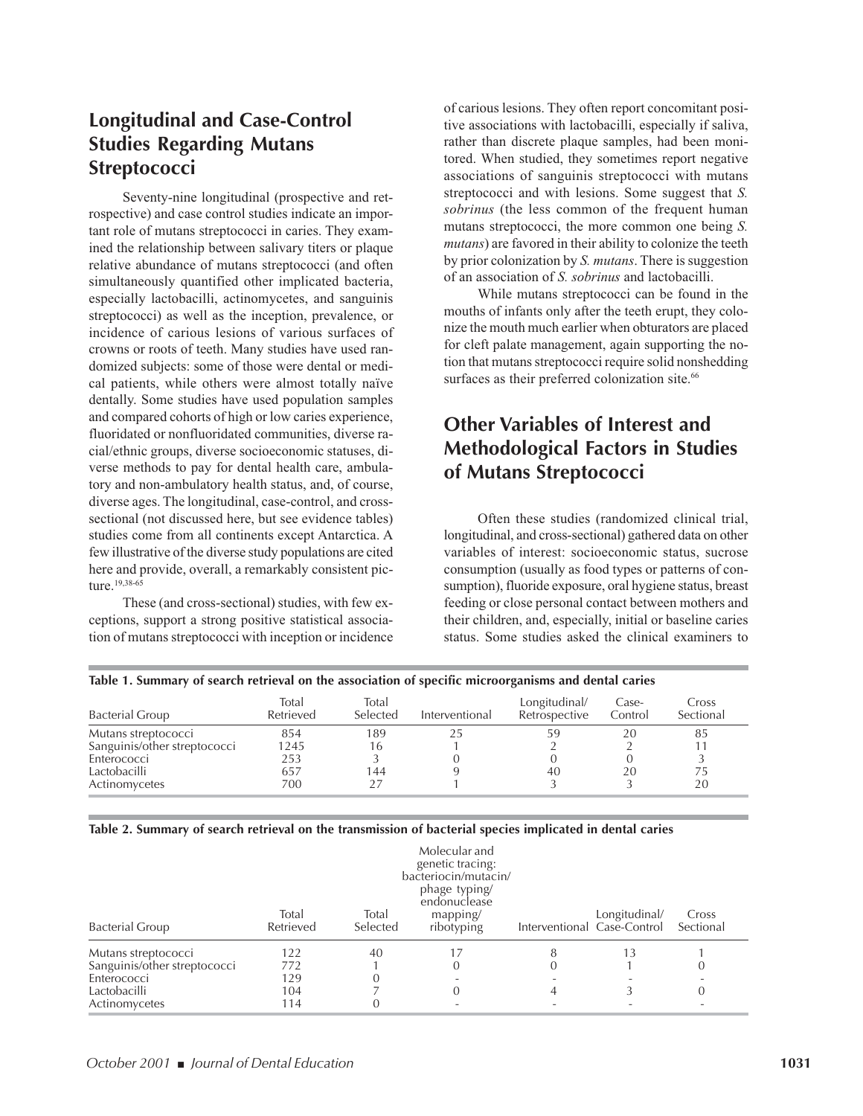### **Longitudinal and Case-Control Studies Regarding Mutans Streptococci**

Seventy-nine longitudinal (prospective and retrospective) and case control studies indicate an important role of mutans streptococci in caries. They examined the relationship between salivary titers or plaque relative abundance of mutans streptococci (and often simultaneously quantified other implicated bacteria, especially lactobacilli, actinomycetes, and sanguinis streptococci) as well as the inception, prevalence, or incidence of carious lesions of various surfaces of crowns or roots of teeth. Many studies have used randomized subjects: some of those were dental or medical patients, while others were almost totally naïve dentally. Some studies have used population samples and compared cohorts of high or low caries experience, fluoridated or nonfluoridated communities, diverse racial/ethnic groups, diverse socioeconomic statuses, diverse methods to pay for dental health care, ambulatory and non-ambulatory health status, and, of course, diverse ages. The longitudinal, case-control, and crosssectional (not discussed here, but see evidence tables) studies come from all continents except Antarctica. A few illustrative of the diverse study populations are cited here and provide, overall, a remarkably consistent picture.<sup>19,38-65</sup>

These (and cross-sectional) studies, with few exceptions, support a strong positive statistical association of mutans streptococci with inception or incidence

of carious lesions. They often report concomitant positive associations with lactobacilli, especially if saliva, rather than discrete plaque samples, had been monitored. When studied, they sometimes report negative associations of sanguinis streptococci with mutans streptococci and with lesions. Some suggest that *S. sobrinus* (the less common of the frequent human mutans streptococci, the more common one being *S. mutans*) are favored in their ability to colonize the teeth by prior colonization by *S. mutans*. There is suggestion of an association of *S. sobrinus* and lactobacilli.

While mutans streptococci can be found in the mouths of infants only after the teeth erupt, they colonize the mouth much earlier when obturators are placed for cleft palate management, again supporting the notion that mutans streptococci require solid nonshedding surfaces as their preferred colonization site.<sup>66</sup>

### **Other Variables of Interest and Methodological Factors in Studies of Mutans Streptococci**

Often these studies (randomized clinical trial, longitudinal, and cross-sectional) gathered data on other variables of interest: socioeconomic status, sucrose consumption (usually as food types or patterns of consumption), fluoride exposure, oral hygiene status, breast feeding or close personal contact between mothers and their children, and, especially, initial or baseline caries status. Some studies asked the clinical examiners to

| Table 1. Summary of search retrieval on the association of specific microorganisms and dental caries |  |  |  |  |  |  |  |  |  |  |
|------------------------------------------------------------------------------------------------------|--|--|--|--|--|--|--|--|--|--|
|------------------------------------------------------------------------------------------------------|--|--|--|--|--|--|--|--|--|--|

|                              |                    |                   |                | . .                            |                  |                    |
|------------------------------|--------------------|-------------------|----------------|--------------------------------|------------------|--------------------|
| <b>Bacterial Group</b>       | Total<br>Retrieved | Total<br>Selected | Interventional | Longitudinal/<br>Retrospective | Case-<br>Control | Cross<br>Sectional |
| Mutans streptococci          | 854                | 189               | 25             |                                | 20               | 85                 |
| Sanguinis/other streptococci | 1245               | 16                |                |                                |                  |                    |
| Enterococci                  | 253                |                   |                |                                |                  |                    |
| Lactobacilli                 | 657                | 144               |                | 40                             | 20               | 75                 |
| Actinomycetes                | 700                |                   |                |                                |                  | 20                 |

#### **Table 2. Summary of search retrieval on the transmission of bacterial species implicated in dental caries**

|                              | Total     | Total    | Molecular and<br>genetic tracing:<br>bacteriocin/mutacin/<br>phage typing/<br>endonuclease<br>mapping/ |                             | Longitudinal/ | Cross     |
|------------------------------|-----------|----------|--------------------------------------------------------------------------------------------------------|-----------------------------|---------------|-----------|
| <b>Bacterial Group</b>       | Retrieved | Selected | ribotyping                                                                                             | Interventional Case-Control |               | Sectional |
| Mutans streptococci          | 122       | 40       |                                                                                                        |                             | 13            |           |
| Sanguinis/other streptococci | 772       |          |                                                                                                        |                             |               | O         |
| Enterococci                  | 129       |          |                                                                                                        |                             |               |           |
| Lactobacilli                 | 104       |          |                                                                                                        |                             |               | $\Omega$  |
| Actinomycetes                | 114       |          |                                                                                                        |                             |               |           |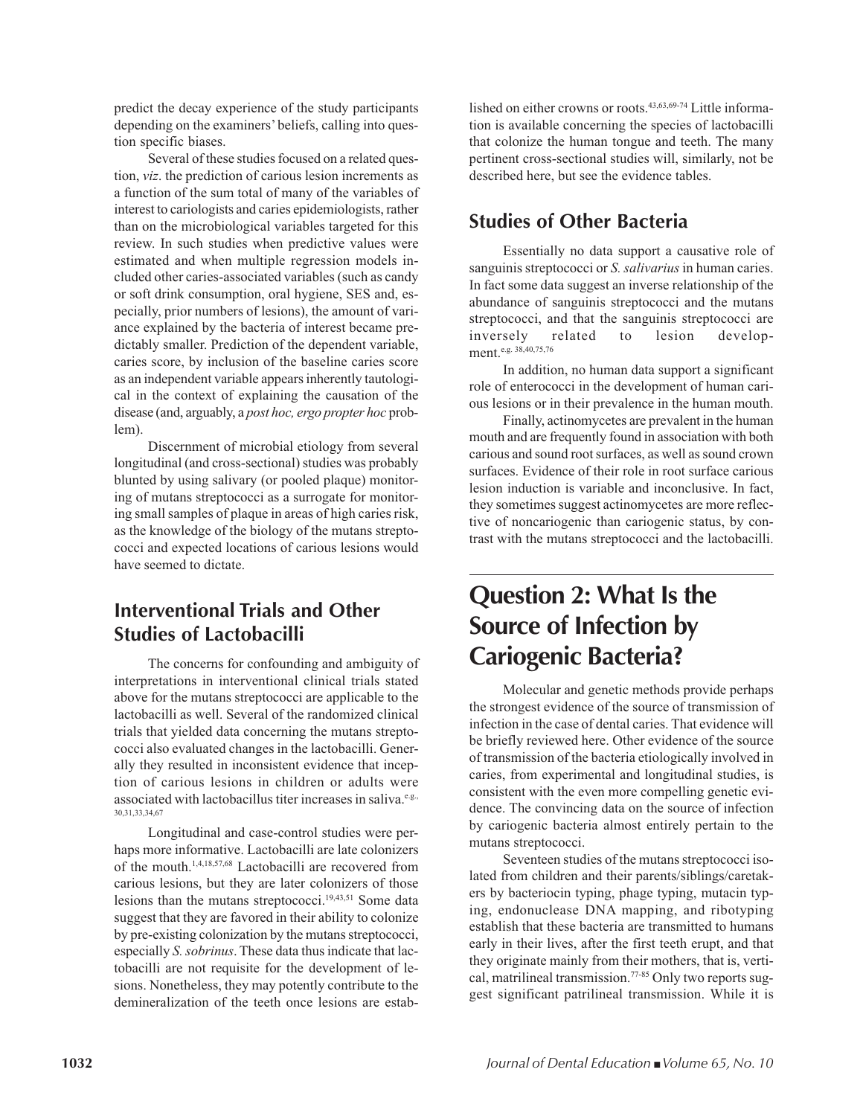predict the decay experience of the study participants depending on the examiners' beliefs, calling into question specific biases.

Several of these studies focused on a related question, *viz*. the prediction of carious lesion increments as a function of the sum total of many of the variables of interest to cariologists and caries epidemiologists, rather than on the microbiological variables targeted for this review. In such studies when predictive values were estimated and when multiple regression models included other caries-associated variables (such as candy or soft drink consumption, oral hygiene, SES and, especially, prior numbers of lesions), the amount of variance explained by the bacteria of interest became predictably smaller. Prediction of the dependent variable, caries score, by inclusion of the baseline caries score as an independent variable appears inherently tautological in the context of explaining the causation of the disease (and, arguably, a *post hoc, ergo propter hoc* problem).

Discernment of microbial etiology from several longitudinal (and cross-sectional) studies was probably blunted by using salivary (or pooled plaque) monitoring of mutans streptococci as a surrogate for monitoring small samples of plaque in areas of high caries risk, as the knowledge of the biology of the mutans streptococci and expected locations of carious lesions would have seemed to dictate.

### **Interventional Trials and Other Studies of Lactobacilli**

The concerns for confounding and ambiguity of interpretations in interventional clinical trials stated above for the mutans streptococci are applicable to the lactobacilli as well. Several of the randomized clinical trials that yielded data concerning the mutans streptococci also evaluated changes in the lactobacilli. Generally they resulted in inconsistent evidence that inception of carious lesions in children or adults were associated with lactobacillus titer increases in saliva.<sup>e.g.,</sup> 30,31,33,34,67

Longitudinal and case-control studies were perhaps more informative. Lactobacilli are late colonizers of the mouth.1,4,18,57,68 Lactobacilli are recovered from carious lesions, but they are later colonizers of those lesions than the mutans streptococci.<sup>19,43,51</sup> Some data suggest that they are favored in their ability to colonize by pre-existing colonization by the mutans streptococci, especially *S. sobrinus*. These data thus indicate that lactobacilli are not requisite for the development of lesions. Nonetheless, they may potently contribute to the demineralization of the teeth once lesions are established on either crowns or roots.43,63,69-74 Little information is available concerning the species of lactobacilli that colonize the human tongue and teeth. The many pertinent cross-sectional studies will, similarly, not be described here, but see the evidence tables.

### **Studies of Other Bacteria**

Essentially no data support a causative role of sanguinis streptococci or *S. salivarius* in human caries. In fact some data suggest an inverse relationship of the abundance of sanguinis streptococci and the mutans streptococci, and that the sanguinis streptococci are inversely related to lesion development.e.g. 38,40,75,76

In addition, no human data support a significant role of enterococci in the development of human carious lesions or in their prevalence in the human mouth.

Finally, actinomycetes are prevalent in the human mouth and are frequently found in association with both carious and sound root surfaces, as well as sound crown surfaces. Evidence of their role in root surface carious lesion induction is variable and inconclusive. In fact, they sometimes suggest actinomycetes are more reflective of noncariogenic than cariogenic status, by contrast with the mutans streptococci and the lactobacilli.

## **Question 2: What Is the Source of Infection by Cariogenic Bacteria?**

Molecular and genetic methods provide perhaps the strongest evidence of the source of transmission of infection in the case of dental caries. That evidence will be briefly reviewed here. Other evidence of the source of transmission of the bacteria etiologically involved in caries, from experimental and longitudinal studies, is consistent with the even more compelling genetic evidence. The convincing data on the source of infection by cariogenic bacteria almost entirely pertain to the mutans streptococci.

Seventeen studies of the mutans streptococci isolated from children and their parents/siblings/caretakers by bacteriocin typing, phage typing, mutacin typing, endonuclease DNA mapping, and ribotyping establish that these bacteria are transmitted to humans early in their lives, after the first teeth erupt, and that they originate mainly from their mothers, that is, vertical, matrilineal transmission.<sup>77-85</sup> Only two reports suggest significant patrilineal transmission. While it is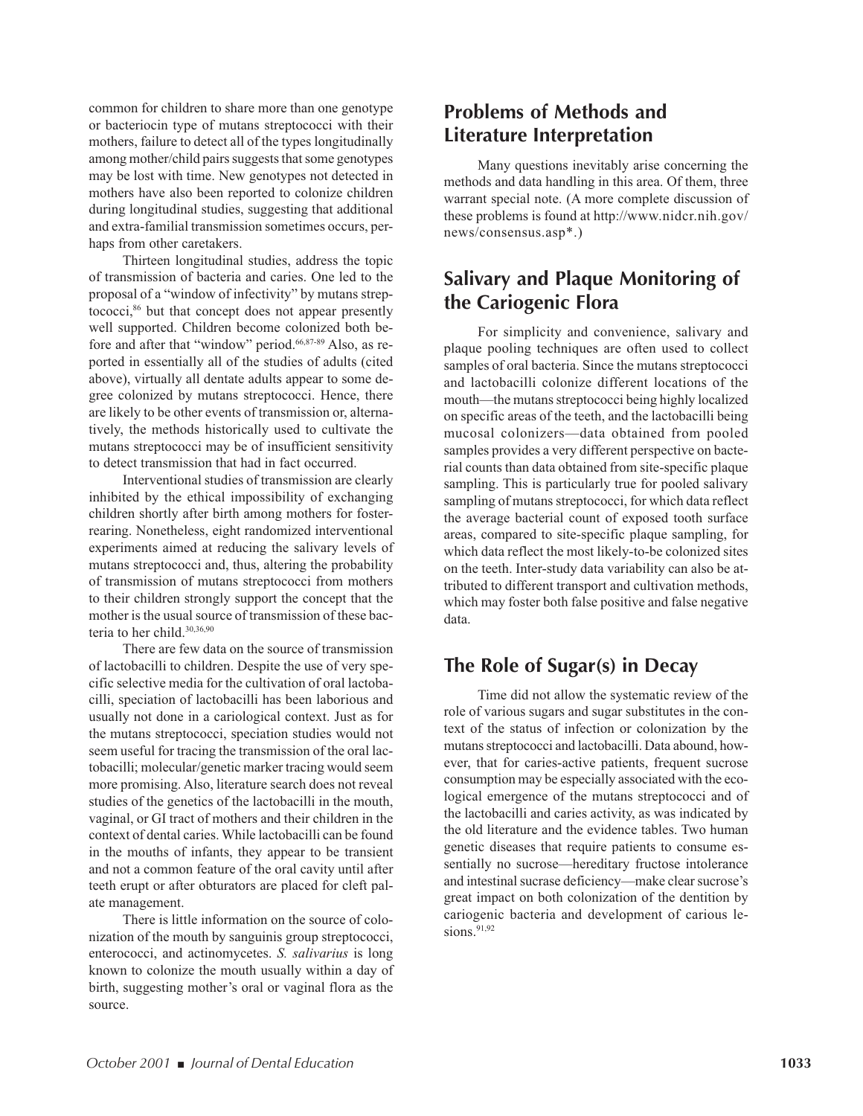common for children to share more than one genotype or bacteriocin type of mutans streptococci with their mothers, failure to detect all of the types longitudinally among mother/child pairs suggests that some genotypes may be lost with time. New genotypes not detected in mothers have also been reported to colonize children during longitudinal studies, suggesting that additional and extra-familial transmission sometimes occurs, perhaps from other caretakers.

Thirteen longitudinal studies, address the topic of transmission of bacteria and caries. One led to the proposal of a "window of infectivity" by mutans streptococci,<sup>86</sup> but that concept does not appear presently well supported. Children become colonized both before and after that "window" period.<sup>66,87-89</sup> Also, as reported in essentially all of the studies of adults (cited above), virtually all dentate adults appear to some degree colonized by mutans streptococci. Hence, there are likely to be other events of transmission or, alternatively, the methods historically used to cultivate the mutans streptococci may be of insufficient sensitivity to detect transmission that had in fact occurred.

Interventional studies of transmission are clearly inhibited by the ethical impossibility of exchanging children shortly after birth among mothers for fosterrearing. Nonetheless, eight randomized interventional experiments aimed at reducing the salivary levels of mutans streptococci and, thus, altering the probability of transmission of mutans streptococci from mothers to their children strongly support the concept that the mother is the usual source of transmission of these bacteria to her child.<sup>30,36,90</sup>

There are few data on the source of transmission of lactobacilli to children. Despite the use of very specific selective media for the cultivation of oral lactobacilli, speciation of lactobacilli has been laborious and usually not done in a cariological context. Just as for the mutans streptococci, speciation studies would not seem useful for tracing the transmission of the oral lactobacilli; molecular/genetic marker tracing would seem more promising. Also, literature search does not reveal studies of the genetics of the lactobacilli in the mouth, vaginal, or GI tract of mothers and their children in the context of dental caries. While lactobacilli can be found in the mouths of infants, they appear to be transient and not a common feature of the oral cavity until after teeth erupt or after obturators are placed for cleft palate management.

There is little information on the source of colonization of the mouth by sanguinis group streptococci, enterococci, and actinomycetes. *S. salivarius* is long known to colonize the mouth usually within a day of birth, suggesting mother's oral or vaginal flora as the source.

### **Problems of Methods and Literature Interpretation**

Many questions inevitably arise concerning the methods and data handling in this area. Of them, three warrant special note. (A more complete discussion of these problems is found at http://www.nidcr.nih.gov/ news/consensus.asp\*.)

### **Salivary and Plaque Monitoring of the Cariogenic Flora**

For simplicity and convenience, salivary and plaque pooling techniques are often used to collect samples of oral bacteria. Since the mutans streptococci and lactobacilli colonize different locations of the mouth—the mutans streptococci being highly localized on specific areas of the teeth, and the lactobacilli being mucosal colonizers—data obtained from pooled samples provides a very different perspective on bacterial counts than data obtained from site-specific plaque sampling. This is particularly true for pooled salivary sampling of mutans streptococci, for which data reflect the average bacterial count of exposed tooth surface areas, compared to site-specific plaque sampling, for which data reflect the most likely-to-be colonized sites on the teeth. Inter-study data variability can also be attributed to different transport and cultivation methods, which may foster both false positive and false negative data.

### **The Role of Sugar(s) in Decay**

Time did not allow the systematic review of the role of various sugars and sugar substitutes in the context of the status of infection or colonization by the mutans streptococci and lactobacilli. Data abound, however, that for caries-active patients, frequent sucrose consumption may be especially associated with the ecological emergence of the mutans streptococci and of the lactobacilli and caries activity, as was indicated by the old literature and the evidence tables. Two human genetic diseases that require patients to consume essentially no sucrose—hereditary fructose intolerance and intestinal sucrase deficiency—make clear sucrose's great impact on both colonization of the dentition by cariogenic bacteria and development of carious lesions. $91,92$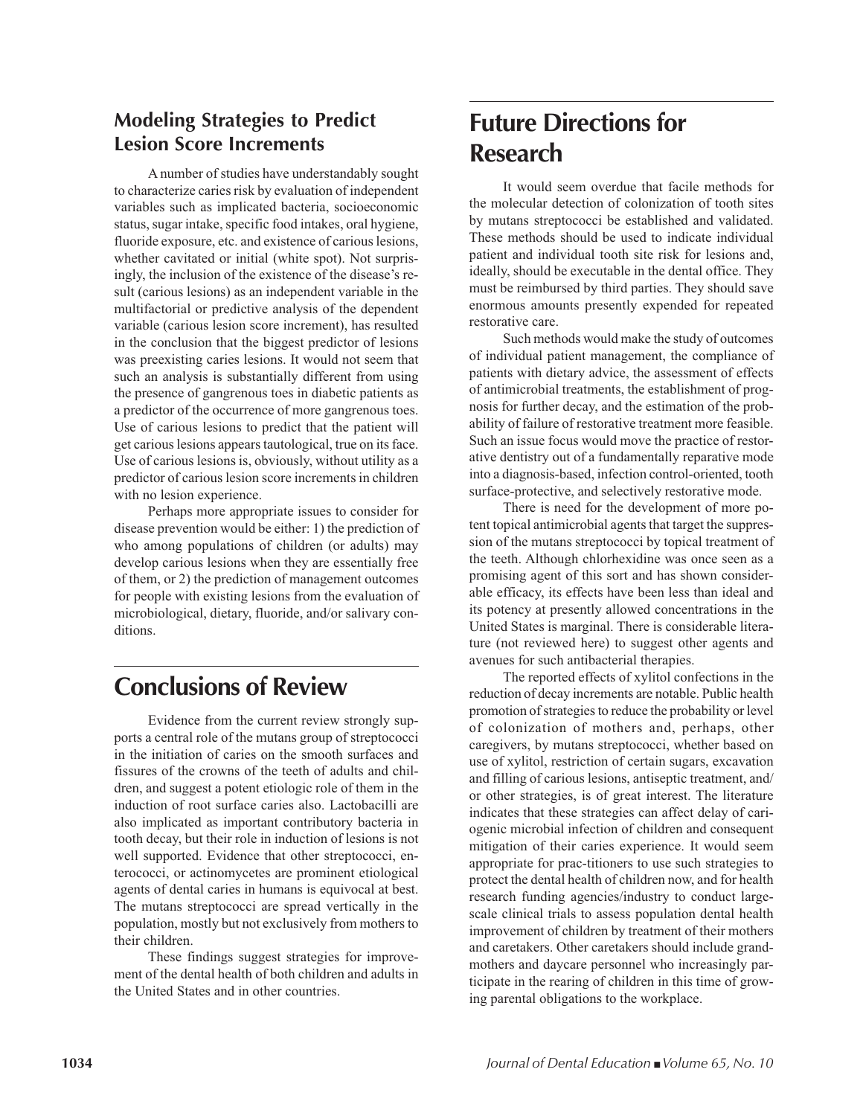### **Modeling Strategies to Predict Lesion Score Increments**

A number of studies have understandably sought to characterize caries risk by evaluation of independent variables such as implicated bacteria, socioeconomic status, sugar intake, specific food intakes, oral hygiene, fluoride exposure, etc. and existence of carious lesions, whether cavitated or initial (white spot). Not surprisingly, the inclusion of the existence of the disease's result (carious lesions) as an independent variable in the multifactorial or predictive analysis of the dependent variable (carious lesion score increment), has resulted in the conclusion that the biggest predictor of lesions was preexisting caries lesions. It would not seem that such an analysis is substantially different from using the presence of gangrenous toes in diabetic patients as a predictor of the occurrence of more gangrenous toes. Use of carious lesions to predict that the patient will get carious lesions appears tautological, true on its face. Use of carious lesions is, obviously, without utility as a predictor of carious lesion score increments in children with no lesion experience.

Perhaps more appropriate issues to consider for disease prevention would be either: 1) the prediction of who among populations of children (or adults) may develop carious lesions when they are essentially free of them, or 2) the prediction of management outcomes for people with existing lesions from the evaluation of microbiological, dietary, fluoride, and/or salivary conditions.

## **Conclusions of Review**

Evidence from the current review strongly supports a central role of the mutans group of streptococci in the initiation of caries on the smooth surfaces and fissures of the crowns of the teeth of adults and children, and suggest a potent etiologic role of them in the induction of root surface caries also. Lactobacilli are also implicated as important contributory bacteria in tooth decay, but their role in induction of lesions is not well supported. Evidence that other streptococci, enterococci, or actinomycetes are prominent etiological agents of dental caries in humans is equivocal at best. The mutans streptococci are spread vertically in the population, mostly but not exclusively from mothers to their children.

These findings suggest strategies for improvement of the dental health of both children and adults in the United States and in other countries.

## **Future Directions for Research**

It would seem overdue that facile methods for the molecular detection of colonization of tooth sites by mutans streptococci be established and validated. These methods should be used to indicate individual patient and individual tooth site risk for lesions and, ideally, should be executable in the dental office. They must be reimbursed by third parties. They should save enormous amounts presently expended for repeated restorative care.

Such methods would make the study of outcomes of individual patient management, the compliance of patients with dietary advice, the assessment of effects of antimicrobial treatments, the establishment of prognosis for further decay, and the estimation of the probability of failure of restorative treatment more feasible. Such an issue focus would move the practice of restorative dentistry out of a fundamentally reparative mode into a diagnosis-based, infection control-oriented, tooth surface-protective, and selectively restorative mode.

There is need for the development of more potent topical antimicrobial agents that target the suppression of the mutans streptococci by topical treatment of the teeth. Although chlorhexidine was once seen as a promising agent of this sort and has shown considerable efficacy, its effects have been less than ideal and its potency at presently allowed concentrations in the United States is marginal. There is considerable literature (not reviewed here) to suggest other agents and avenues for such antibacterial therapies.

The reported effects of xylitol confections in the reduction of decay increments are notable. Public health promotion of strategies to reduce the probability or level of colonization of mothers and, perhaps, other caregivers, by mutans streptococci, whether based on use of xylitol, restriction of certain sugars, excavation and filling of carious lesions, antiseptic treatment, and/ or other strategies, is of great interest. The literature indicates that these strategies can affect delay of cariogenic microbial infection of children and consequent mitigation of their caries experience. It would seem appropriate for prac-titioners to use such strategies to protect the dental health of children now, and for health research funding agencies/industry to conduct largescale clinical trials to assess population dental health improvement of children by treatment of their mothers and caretakers. Other caretakers should include grandmothers and daycare personnel who increasingly participate in the rearing of children in this time of growing parental obligations to the workplace.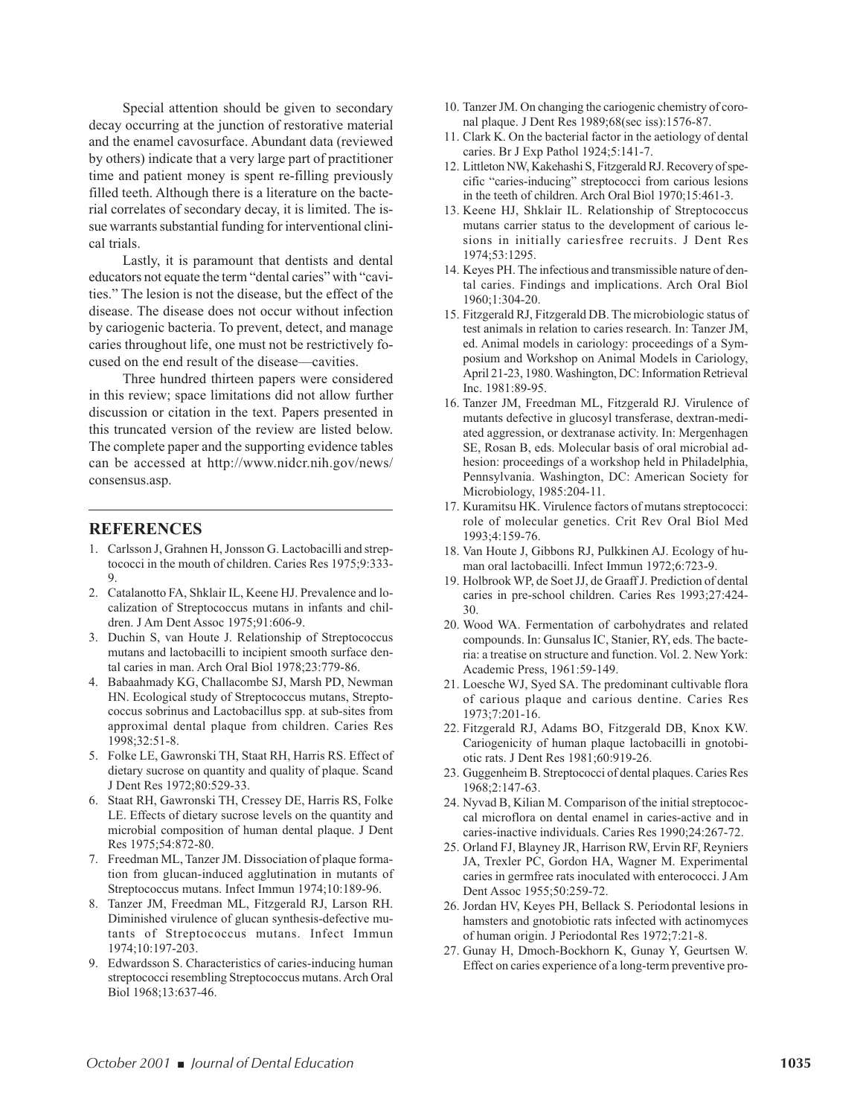Special attention should be given to secondary decay occurring at the junction of restorative material and the enamel cavosurface. Abundant data (reviewed by others) indicate that a very large part of practitioner time and patient money is spent re-filling previously filled teeth. Although there is a literature on the bacterial correlates of secondary decay, it is limited. The issue warrants substantial funding for interventional clinical trials.

Lastly, it is paramount that dentists and dental educators not equate the term "dental caries" with "cavities." The lesion is not the disease, but the effect of the disease. The disease does not occur without infection by cariogenic bacteria. To prevent, detect, and manage caries throughout life, one must not be restrictively focused on the end result of the disease—cavities.

Three hundred thirteen papers were considered in this review; space limitations did not allow further discussion or citation in the text. Papers presented in this truncated version of the review are listed below. The complete paper and the supporting evidence tables can be accessed at http://www.nidcr.nih.gov/news/ consensus.asp.

#### **REFERENCES**

- 1. Carlsson J, Grahnen H, Jonsson G. Lactobacilli and streptococci in the mouth of children. Caries Res 1975;9:333- 9.
- 2. Catalanotto FA, Shklair IL, Keene HJ. Prevalence and localization of Streptococcus mutans in infants and children. J Am Dent Assoc 1975;91:606-9.
- 3. Duchin S, van Houte J. Relationship of Streptococcus mutans and lactobacilli to incipient smooth surface dental caries in man. Arch Oral Biol 1978;23:779-86.
- 4. Babaahmady KG, Challacombe SJ, Marsh PD, Newman HN. Ecological study of Streptococcus mutans, Streptococcus sobrinus and Lactobacillus spp. at sub-sites from approximal dental plaque from children. Caries Res 1998;32:51-8.
- 5. Folke LE, Gawronski TH, Staat RH, Harris RS. Effect of dietary sucrose on quantity and quality of plaque. Scand J Dent Res 1972;80:529-33.
- 6. Staat RH, Gawronski TH, Cressey DE, Harris RS, Folke LE. Effects of dietary sucrose levels on the quantity and microbial composition of human dental plaque. J Dent Res 1975;54:872-80.
- 7. Freedman ML, Tanzer JM. Dissociation of plaque formation from glucan-induced agglutination in mutants of Streptococcus mutans. Infect Immun 1974;10:189-96.
- 8. Tanzer JM, Freedman ML, Fitzgerald RJ, Larson RH. Diminished virulence of glucan synthesis-defective mutants of Streptococcus mutans. Infect Immun 1974;10:197-203.
- 9. Edwardsson S. Characteristics of caries-inducing human streptococci resembling Streptococcus mutans. Arch Oral Biol 1968;13:637-46.
- 10. Tanzer JM. On changing the cariogenic chemistry of coronal plaque. J Dent Res 1989;68(sec iss):1576-87.
- 11. Clark K. On the bacterial factor in the aetiology of dental caries. Br J Exp Pathol 1924;5:141-7.
- 12. Littleton NW, Kakehashi S, Fitzgerald RJ. Recovery of specific "caries-inducing" streptococci from carious lesions in the teeth of children. Arch Oral Biol 1970;15:461-3.
- 13. Keene HJ, Shklair IL. Relationship of Streptococcus mutans carrier status to the development of carious lesions in initially cariesfree recruits. J Dent Res 1974;53:1295.
- 14. Keyes PH. The infectious and transmissible nature of dental caries. Findings and implications. Arch Oral Biol 1960;1:304-20.
- 15. Fitzgerald RJ, Fitzgerald DB. The microbiologic status of test animals in relation to caries research. In: Tanzer JM, ed. Animal models in cariology: proceedings of a Symposium and Workshop on Animal Models in Cariology, April 21-23, 1980. Washington, DC: Information Retrieval Inc. 1981:89-95.
- 16. Tanzer JM, Freedman ML, Fitzgerald RJ. Virulence of mutants defective in glucosyl transferase, dextran-mediated aggression, or dextranase activity. In: Mergenhagen SE, Rosan B, eds. Molecular basis of oral microbial adhesion: proceedings of a workshop held in Philadelphia, Pennsylvania. Washington, DC: American Society for Microbiology, 1985:204-11.
- 17. Kuramitsu HK. Virulence factors of mutans streptococci: role of molecular genetics. Crit Rev Oral Biol Med 1993;4:159-76.
- 18. Van Houte J, Gibbons RJ, Pulkkinen AJ. Ecology of human oral lactobacilli. Infect Immun 1972;6:723-9.
- 19. Holbrook WP, de Soet JJ, de Graaff J. Prediction of dental caries in pre-school children. Caries Res 1993;27:424- 30.
- 20. Wood WA. Fermentation of carbohydrates and related compounds. In: Gunsalus IC, Stanier, RY, eds. The bacteria: a treatise on structure and function. Vol. 2. New York: Academic Press, 1961:59-149.
- 21. Loesche WJ, Syed SA. The predominant cultivable flora of carious plaque and carious dentine. Caries Res 1973;7:201-16.
- 22. Fitzgerald RJ, Adams BO, Fitzgerald DB, Knox KW. Cariogenicity of human plaque lactobacilli in gnotobiotic rats. J Dent Res 1981;60:919-26.
- 23. Guggenheim B. Streptococci of dental plaques. Caries Res 1968;2:147-63.
- 24. Nyvad B, Kilian M. Comparison of the initial streptococcal microflora on dental enamel in caries-active and in caries-inactive individuals. Caries Res 1990;24:267-72.
- 25. Orland FJ, Blayney JR, Harrison RW, Ervin RF, Reyniers JA, Trexler PC, Gordon HA, Wagner M. Experimental caries in germfree rats inoculated with enterococci. J Am Dent Assoc 1955;50:259-72.
- 26. Jordan HV, Keyes PH, Bellack S. Periodontal lesions in hamsters and gnotobiotic rats infected with actinomyces of human origin. J Periodontal Res 1972;7:21-8.
- 27. Gunay H, Dmoch-Bockhorn K, Gunay Y, Geurtsen W. Effect on caries experience of a long-term preventive pro-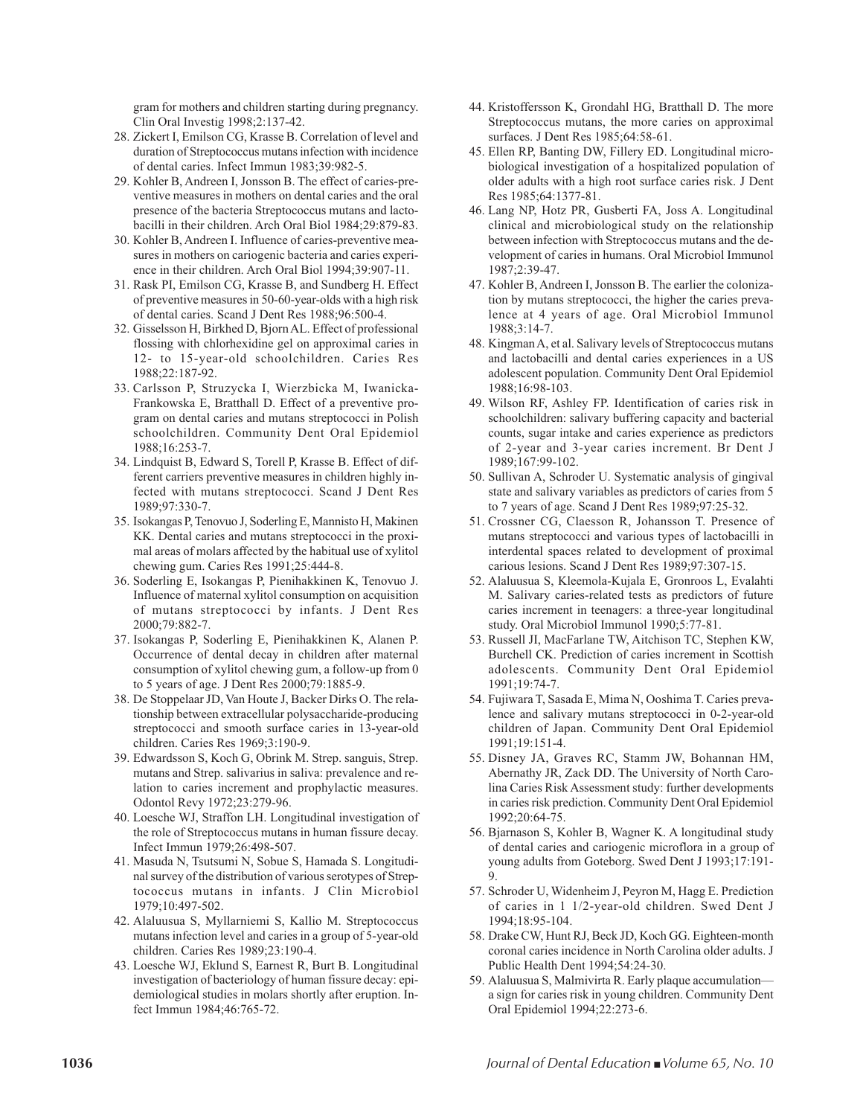gram for mothers and children starting during pregnancy. Clin Oral Investig 1998;2:137-42.

- 28. Zickert I, Emilson CG, Krasse B. Correlation of level and duration of Streptococcus mutans infection with incidence of dental caries. Infect Immun 1983;39:982-5.
- 29. Kohler B, Andreen I, Jonsson B. The effect of caries-preventive measures in mothers on dental caries and the oral presence of the bacteria Streptococcus mutans and lactobacilli in their children. Arch Oral Biol 1984;29:879-83.
- 30. Kohler B, Andreen I. Influence of caries-preventive measures in mothers on cariogenic bacteria and caries experience in their children. Arch Oral Biol 1994;39:907-11.
- 31. Rask PI, Emilson CG, Krasse B, and Sundberg H. Effect of preventive measures in 50-60-year-olds with a high risk of dental caries. Scand J Dent Res 1988;96:500-4.
- 32. Gisselsson H, Birkhed D, Bjorn AL. Effect of professional flossing with chlorhexidine gel on approximal caries in 12- to 15-year-old schoolchildren. Caries Res 1988;22:187-92.
- 33. Carlsson P, Struzycka I, Wierzbicka M, Iwanicka-Frankowska E, Bratthall D. Effect of a preventive program on dental caries and mutans streptococci in Polish schoolchildren. Community Dent Oral Epidemiol 1988;16:253-7.
- 34. Lindquist B, Edward S, Torell P, Krasse B. Effect of different carriers preventive measures in children highly infected with mutans streptococci. Scand J Dent Res 1989;97:330-7.
- 35. Isokangas P, Tenovuo J, Soderling E, Mannisto H, Makinen KK. Dental caries and mutans streptococci in the proximal areas of molars affected by the habitual use of xylitol chewing gum. Caries Res 1991;25:444-8.
- 36. Soderling E, Isokangas P, Pienihakkinen K, Tenovuo J. Influence of maternal xylitol consumption on acquisition of mutans streptococci by infants. J Dent Res 2000;79:882-7.
- 37. Isokangas P, Soderling E, Pienihakkinen K, Alanen P. Occurrence of dental decay in children after maternal consumption of xylitol chewing gum, a follow-up from 0 to 5 years of age. J Dent Res 2000;79:1885-9.
- 38. De Stoppelaar JD, Van Houte J, Backer Dirks O. The relationship between extracellular polysaccharide-producing streptococci and smooth surface caries in 13-year-old children. Caries Res 1969;3:190-9.
- 39. Edwardsson S, Koch G, Obrink M. Strep. sanguis, Strep. mutans and Strep. salivarius in saliva: prevalence and relation to caries increment and prophylactic measures. Odontol Revy 1972;23:279-96.
- 40. Loesche WJ, Straffon LH. Longitudinal investigation of the role of Streptococcus mutans in human fissure decay. Infect Immun 1979;26:498-507.
- 41. Masuda N, Tsutsumi N, Sobue S, Hamada S. Longitudinal survey of the distribution of various serotypes of Streptococcus mutans in infants. J Clin Microbiol 1979;10:497-502.
- 42. Alaluusua S, Myllarniemi S, Kallio M. Streptococcus mutans infection level and caries in a group of 5-year-old children. Caries Res 1989;23:190-4.
- 43. Loesche WJ, Eklund S, Earnest R, Burt B. Longitudinal investigation of bacteriology of human fissure decay: epidemiological studies in molars shortly after eruption. Infect Immun 1984;46:765-72.
- 44. Kristoffersson K, Grondahl HG, Bratthall D. The more Streptococcus mutans, the more caries on approximal surfaces. J Dent Res 1985;64:58-61.
- 45. Ellen RP, Banting DW, Fillery ED. Longitudinal microbiological investigation of a hospitalized population of older adults with a high root surface caries risk. J Dent Res 1985;64:1377-81.
- 46. Lang NP, Hotz PR, Gusberti FA, Joss A. Longitudinal clinical and microbiological study on the relationship between infection with Streptococcus mutans and the development of caries in humans. Oral Microbiol Immunol 1987;2:39-47.
- 47. Kohler B, Andreen I, Jonsson B. The earlier the colonization by mutans streptococci, the higher the caries prevalence at 4 years of age. Oral Microbiol Immunol 1988;3:14-7.
- 48. Kingman A, et al. Salivary levels of Streptococcus mutans and lactobacilli and dental caries experiences in a US adolescent population. Community Dent Oral Epidemiol 1988;16:98-103.
- 49. Wilson RF, Ashley FP. Identification of caries risk in schoolchildren: salivary buffering capacity and bacterial counts, sugar intake and caries experience as predictors of 2-year and 3-year caries increment. Br Dent J 1989;167:99-102.
- 50. Sullivan A, Schroder U. Systematic analysis of gingival state and salivary variables as predictors of caries from 5 to 7 years of age. Scand J Dent Res 1989;97:25-32.
- 51. Crossner CG, Claesson R, Johansson T. Presence of mutans streptococci and various types of lactobacilli in interdental spaces related to development of proximal carious lesions. Scand J Dent Res 1989;97:307-15.
- 52. Alaluusua S, Kleemola-Kujala E, Gronroos L, Evalahti M. Salivary caries-related tests as predictors of future caries increment in teenagers: a three-year longitudinal study. Oral Microbiol Immunol 1990;5:77-81.
- 53. Russell JI, MacFarlane TW, Aitchison TC, Stephen KW, Burchell CK. Prediction of caries increment in Scottish adolescents. Community Dent Oral Epidemiol 1991;19:74-7.
- 54. Fujiwara T, Sasada E, Mima N, Ooshima T. Caries prevalence and salivary mutans streptococci in 0-2-year-old children of Japan. Community Dent Oral Epidemiol 1991;19:151-4.
- 55. Disney JA, Graves RC, Stamm JW, Bohannan HM, Abernathy JR, Zack DD. The University of North Carolina Caries Risk Assessment study: further developments in caries risk prediction. Community Dent Oral Epidemiol 1992;20:64-75.
- 56. Bjarnason S, Kohler B, Wagner K. A longitudinal study of dental caries and cariogenic microflora in a group of young adults from Goteborg. Swed Dent J 1993;17:191-  $\overline{Q}$
- 57. Schroder U, Widenheim J, Peyron M, Hagg E. Prediction of caries in 1 1/2-year-old children. Swed Dent J 1994;18:95-104.
- 58. Drake CW, Hunt RJ, Beck JD, Koch GG. Eighteen-month coronal caries incidence in North Carolina older adults. J Public Health Dent 1994;54:24-30.
- 59. Alaluusua S, Malmivirta R. Early plaque accumulation a sign for caries risk in young children. Community Dent Oral Epidemiol 1994;22:273-6.